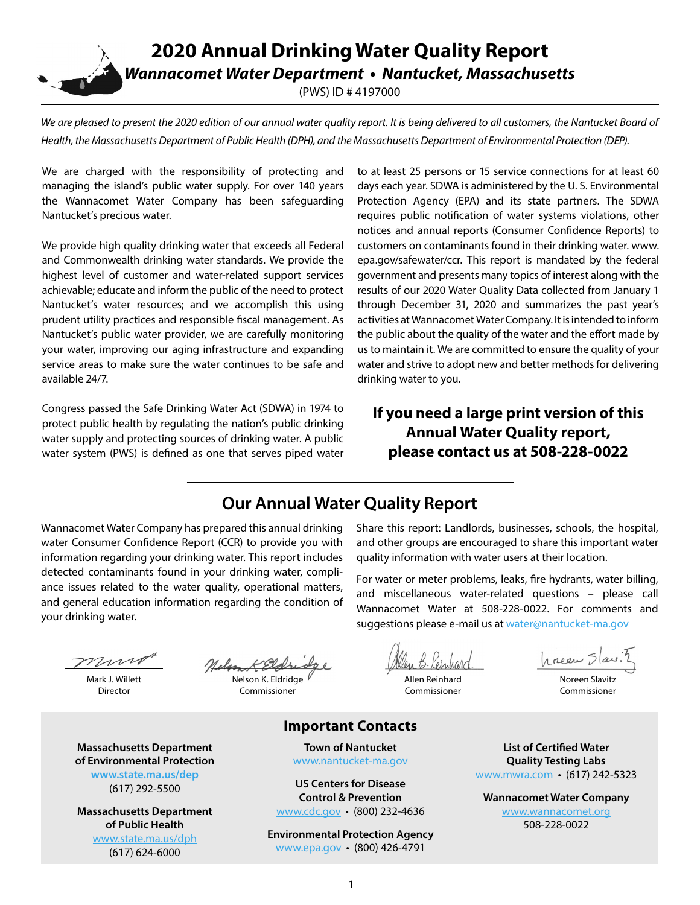**2020 Annual Drinking Water Quality Report** *Wannacomet Water Department • Nantucket, Massachusetts*

(PWS) ID # 4197000

We are pleased to present the 2020 edition of our annual water quality report. It is being delivered to all customers, the Nantucket Board of *Health, the Massachusetts Department of Public Health (DPH), and the Massachusetts Department of Environmental Protection (DEP).*

We are charged with the responsibility of protecting and managing the island's public water supply. For over 140 years the Wannacomet Water Company has been safeguarding Nantucket's precious water.

We provide high quality drinking water that exceeds all Federal and Commonwealth drinking water standards. We provide the highest level of customer and water-related support services achievable; educate and inform the public of the need to protect Nantucket's water resources; and we accomplish this using prudent utility practices and responsible fiscal management. As Nantucket's public water provider, we are carefully monitoring your water, improving our aging infrastructure and expanding service areas to make sure the water continues to be safe and available 24/7.

Congress passed the Safe Drinking Water Act (SDWA) in 1974 to protect public health by regulating the nation's public drinking water supply and protecting sources of drinking water. A public water system (PWS) is defined as one that serves piped water to at least 25 persons or 15 service connections for at least 60 days each year. SDWA is administered by the U. S. Environmental Protection Agency (EPA) and its state partners. The SDWA requires public notification of water systems violations, other notices and annual reports (Consumer Confidence Reports) to customers on contaminants found in their drinking water. www. epa.gov/safewater/ccr. This report is mandated by the federal government and presents many topics of interest along with the results of our 2020 Water Quality Data collected from January 1 through December 31, 2020 and summarizes the past year's activities at Wannacomet Water Company. It is intended to inform the public about the quality of the water and the effort made by us to maintain it. We are committed to ensure the quality of your water and strive to adopt new and better methods for delivering drinking water to you.

# **If you need a large print version of this Annual Water Quality report, please contact us at 508-228-0022**

# **Our Annual Water Quality Report**

Wannacomet Water Company has prepared this annual drinking water Consumer Confidence Report (CCR) to provide you with information regarding your drinking water. This report includes detected contaminants found in your drinking water, compliance issues related to the water quality, operational matters, and general education information regarding the condition of your drinking water.

Share this report: Landlords, businesses, schools, the hospital, and other groups are encouraged to share this important water quality information with water users at their location.

For water or meter problems, leaks, fire hydrants, water billing, and miscellaneous water-related questions – please call Wannacomet Water at 508-228-0022. For comments and suggestions please e-mail us at [water@nantucket-ma.gov](mailto:water%40nantucket-ma.gov?subject=)

munt

Mark J. Willett Director

Nelson K. Eldridge Commissioner

B Kein

Allen Reinhard Commissioner

hneen Slavi

Noreen Slavitz Commissioner

**Massachusetts Department of Environmental Protection [www.state.ma.us/dep](http://www.state.ma.us/dep)**

(617) 292-5500

**Massachusetts Department of Public Health** [www.state.ma.us/dph](http://www.state.ma.us/dph) (617) 624-6000

#### **Important Contacts**

**Town of Nantucket** [www.nantucket-ma.gov](http://www.nantucket-ma.gov)

**US Centers for Disease Control & Prevention** [www.cdc.gov](http://www.cdc.gov) • (800) 232-4636

**Environmental Protection Agency** [www.epa.gov](http://www.epa.gov) • (800) 426-4791

**List of Certified Water Quality Testing Labs** [www.mwra.com](http://www.mwra.com) • (617) 242-5323

**Wannacomet Water Company** [www.wannacomet.org](http://www.wannacomet.org) 508-228-0022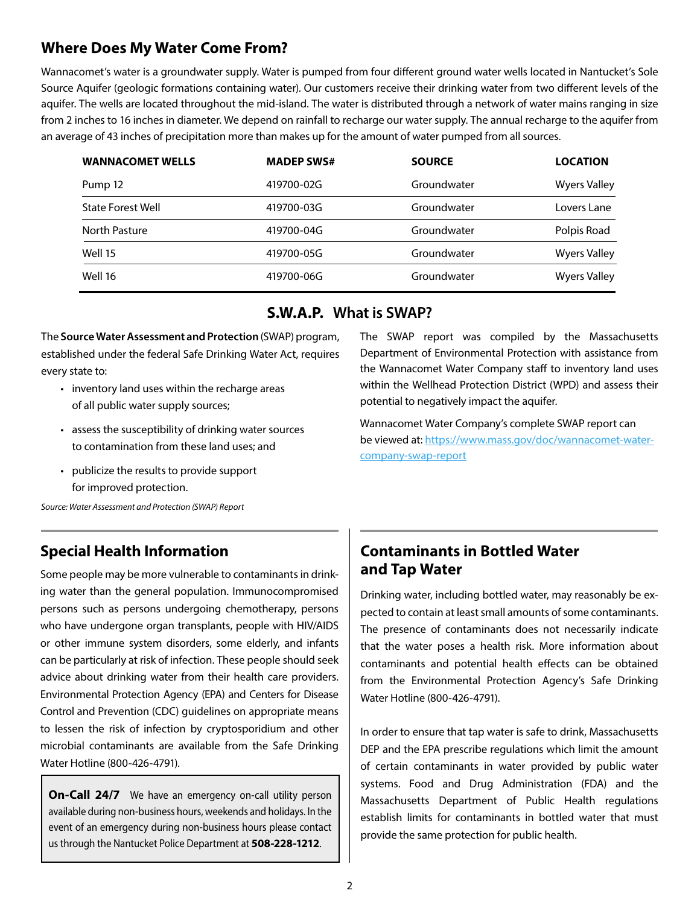### **Where Does My Water Come From?**

Wannacomet's water is a groundwater supply. Water is pumped from four different ground water wells located in Nantucket's Sole Source Aquifer (geologic formations containing water). Our customers receive their drinking water from two different levels of the aquifer. The wells are located throughout the mid-island. The water is distributed through a network of water mains ranging in size from 2 inches to 16 inches in diameter. We depend on rainfall to recharge our water supply. The annual recharge to the aquifer from an average of 43 inches of precipitation more than makes up for the amount of water pumped from all sources.

| <b>WANNACOMET WELLS</b>  | <b>MADEP SWS#</b> | <b>SOURCE</b> | <b>LOCATION</b>     |
|--------------------------|-------------------|---------------|---------------------|
| Pump 12                  | 419700-02G        | Groundwater   | <b>Wyers Valley</b> |
| <b>State Forest Well</b> | 419700-03G        | Groundwater   | Lovers Lane         |
| North Pasture            | 419700-04G        | Groundwater   | Polpis Road         |
| Well 15                  | 419700-05G        | Groundwater   | <b>Wyers Valley</b> |
| Well 16                  | 419700-06G        | Groundwater   | <b>Wyers Valley</b> |

#### **S.W.A.P. What is SWAP?**

The **Source Water Assessment and Protection** (SWAP) program, established under the federal Safe Drinking Water Act, requires every state to:

- inventory land uses within the recharge areas of all public water supply sources;
- assess the susceptibility of drinking water sources to contamination from these land uses; and
- publicize the results to provide support for improved protection.

*Source: Water Assessment and Protection (SWAP) Report*

### **Special Health Information**

Some people may be more vulnerable to contaminants in drinking water than the general population. Immunocompromised persons such as persons undergoing chemotherapy, persons who have undergone organ transplants, people with HIV/AIDS or other immune system disorders, some elderly, and infants can be particularly at risk of infection. These people should seek advice about drinking water from their health care providers. Environmental Protection Agency (EPA) and Centers for Disease Control and Prevention (CDC) guidelines on appropriate means to lessen the risk of infection by cryptosporidium and other microbial contaminants are available from the Safe Drinking Water Hotline (800-426-4791).

**On-Call 24/7** We have an emergency on-call utility person available during non-business hours, weekends and holidays. In the event of an emergency during non-business hours please contact us through the Nantucket Police Department at **508-228-1212**.

The SWAP report was compiled by the Massachusetts Department of Environmental Protection with assistance from the Wannacomet Water Company staff to inventory land uses within the Wellhead Protection District (WPD) and assess their potential to negatively impact the aquifer.

Wannacomet Water Company's complete SWAP report can be viewed at: [https://www.mass.gov/doc/wannacomet-water](https://www.mass.gov/doc/wannacomet-water-company-swap-report)[company-swap-report](https://www.mass.gov/doc/wannacomet-water-company-swap-report)

## **Contaminants in Bottled Water and Tap Water**

Drinking water, including bottled water, may reasonably be expected to contain at least small amounts of some contaminants. The presence of contaminants does not necessarily indicate that the water poses a health risk. More information about contaminants and potential health effects can be obtained from the Environmental Protection Agency's Safe Drinking Water Hotline (800-426-4791).

In order to ensure that tap water is safe to drink, Massachusetts DEP and the EPA prescribe regulations which limit the amount of certain contaminants in water provided by public water systems. Food and Drug Administration (FDA) and the Massachusetts Department of Public Health regulations establish limits for contaminants in bottled water that must provide the same protection for public health.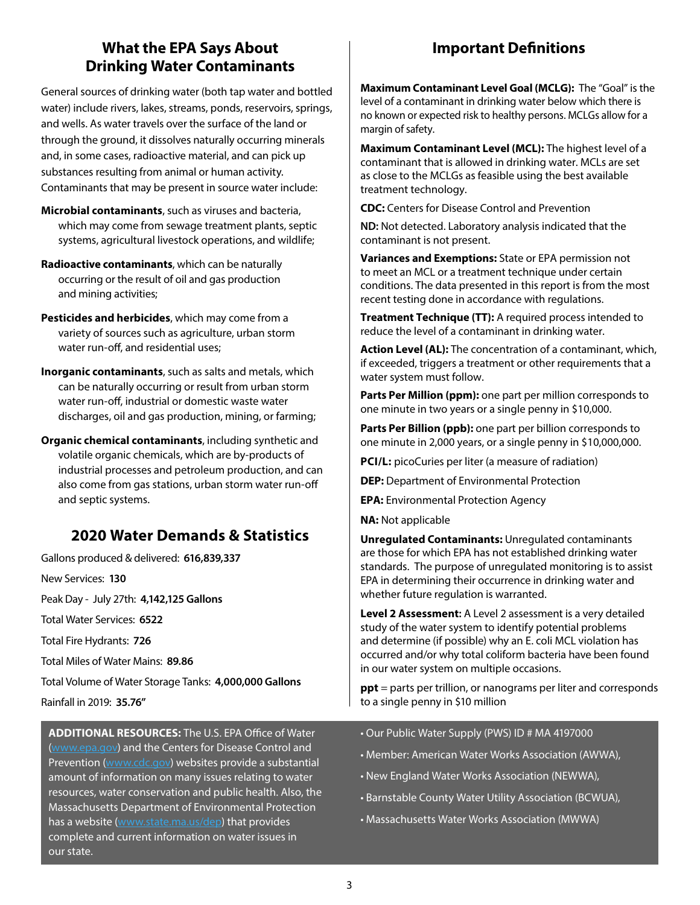# **What the EPA Says About Drinking Water Contaminants**

General sources of drinking water (both tap water and bottled water) include rivers, lakes, streams, ponds, reservoirs, springs, and wells. As water travels over the surface of the land or through the ground, it dissolves naturally occurring minerals and, in some cases, radioactive material, and can pick up substances resulting from animal or human activity. Contaminants that may be present in source water include:

- **Microbial contaminants**, such as viruses and bacteria, which may come from sewage treatment plants, septic systems, agricultural livestock operations, and wildlife;
- **Radioactive contaminants**, which can be naturally occurring or the result of oil and gas production and mining activities;
- **Pesticides and herbicides**, which may come from a variety of sources such as agriculture, urban storm water run-off, and residential uses;
- **Inorganic contaminants**, such as salts and metals, which can be naturally occurring or result from urban storm water run-off, industrial or domestic waste water discharges, oil and gas production, mining, or farming;
- **Organic chemical contaminants**, including synthetic and volatile organic chemicals, which are by-products of industrial processes and petroleum production, and can also come from gas stations, urban storm water run-off and septic systems.

# **2020 Water Demands & Statistics**

Gallons produced & delivered: **616,839,337** New Services: **130** Peak Day - July 27th: **4,142,125 Gallons** Total Water Services: **6522** Total Fire Hydrants: **726** Total Miles of Water Mains: **89.86** Total Volume of Water Storage Tanks: **4,000,000 Gallons**

Rainfall in 2019: **35.76"**

**ADDITIONAL RESOURCES:** The U.S. EPA Office of Water [\(www.epa.gov\)](http://www.epa.gov) and the Centers for Disease Control and Prevention ([www.cdc.gov](http://www.cdc.gov)) websites provide a substantial amount of information on many issues relating to water resources, water conservation and public health. Also, the Massachusetts Department of Environmental Protection has a website [\(www.state.ma.us/dep\)](http://www.state.ma.us/dep) that provides complete and current information on water issues in our state.

# **Important Definitions**

**Maximum Contaminant Level Goal (MCLG):** The "Goal" is the level of a contaminant in drinking water below which there is no known or expected risk to healthy persons. MCLGs allow for a margin of safety.

**Maximum Contaminant Level (MCL):** The highest level of a contaminant that is allowed in drinking water. MCLs are set as close to the MCLGs as feasible using the best available treatment technology.

**CDC:** Centers for Disease Control and Prevention

**ND:** Not detected. Laboratory analysis indicated that the contaminant is not present.

**Variances and Exemptions:** State or EPA permission not to meet an MCL or a treatment technique under certain conditions. The data presented in this report is from the most recent testing done in accordance with regulations.

**Treatment Technique (TT):** A required process intended to reduce the level of a contaminant in drinking water.

**Action Level (AL):** The concentration of a contaminant, which, if exceeded, triggers a treatment or other requirements that a water system must follow.

**Parts Per Million (ppm):** one part per million corresponds to one minute in two years or a single penny in \$10,000.

**Parts Per Billion (ppb):** one part per billion corresponds to one minute in 2,000 years, or a single penny in \$10,000,000.

**PCI/L:** picoCuries per liter (a measure of radiation)

**DEP:** Department of Environmental Protection

**EPA:** Environmental Protection Agency

**NA:** Not applicable

**Unregulated Contaminants:** Unregulated contaminants are those for which EPA has not established drinking water standards. The purpose of unregulated monitoring is to assist EPA in determining their occurrence in drinking water and whether future regulation is warranted.

**Level 2 Assessment:** A Level 2 assessment is a very detailed study of the water system to identify potential problems and determine (if possible) why an E. coli MCL violation has occurred and/or why total coliform bacteria have been found in our water system on multiple occasions.

**ppt** = parts per trillion, or nanograms per liter and corresponds to a single penny in \$10 million

- Our Public Water Supply (PWS) ID # MA 4197000
- Member: American Water Works Association (AWWA),
- New England Water Works Association (NEWWA),
- Barnstable County Water Utility Association (BCWUA),
- Massachusetts Water Works Association (MWWA)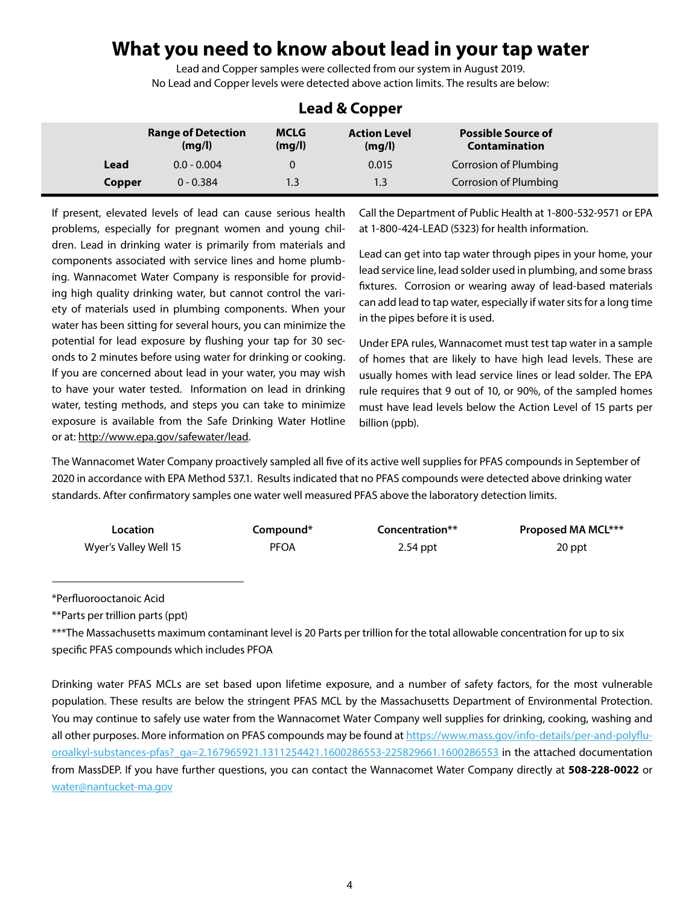# **What you need to know about lead in your tap water**

Lead and Copper samples were collected from our system in August 2019. No Lead and Copper levels were detected above action limits. The results are below:

| <b>FCAM &amp; CANNEL</b> |                                     |                       |                               |                                                   |  |
|--------------------------|-------------------------------------|-----------------------|-------------------------------|---------------------------------------------------|--|
|                          | <b>Range of Detection</b><br>(mq/l) | <b>MCLG</b><br>(mg/l) | <b>Action Level</b><br>(mq/l) | <b>Possible Source of</b><br><b>Contamination</b> |  |
| Lead                     | $0.0 - 0.004$                       | 0                     | 0.015                         | Corrosion of Plumbing                             |  |
| Copper                   | $0 - 0.384$                         | 1.3                   | 1.3                           | Corrosion of Plumbing                             |  |

### **Lead & Copper**

If present, elevated levels of lead can cause serious health problems, especially for pregnant women and young children. Lead in drinking water is primarily from materials and components associated with service lines and home plumbing. Wannacomet Water Company is responsible for providing high quality drinking water, but cannot control the variety of materials used in plumbing components. When your water has been sitting for several hours, you can minimize the potential for lead exposure by flushing your tap for 30 seconds to 2 minutes before using water for drinking or cooking. If you are concerned about lead in your water, you may wish to have your water tested. Information on lead in drinking water, testing methods, and steps you can take to minimize exposure is available from the Safe Drinking Water Hotline or at:<http://www.epa.gov/safewater/lead>.

Call the Department of Public Health at 1-800-532-9571 or EPA at 1-800-424-LEAD (5323) for health information.

Lead can get into tap water through pipes in your home, your lead service line, lead solder used in plumbing, and some brass fixtures. Corrosion or wearing away of lead-based materials can add lead to tap water, especially if water sits for a long time in the pipes before it is used.

Under EPA rules, Wannacomet must test tap water in a sample of homes that are likely to have high lead levels. These are usually homes with lead service lines or lead solder. The EPA rule requires that 9 out of 10, or 90%, of the sampled homes must have lead levels below the Action Level of 15 parts per billion (ppb).

The Wannacomet Water Company proactively sampled all five of its active well supplies for PFAS compounds in September of 2020 in accordance with EPA Method 537.1. Results indicated that no PFAS compounds were detected above drinking water standards. After confirmatory samples one water well measured PFAS above the laboratory detection limits.

| Location              | Compound*   | Concentration** | <b>Proposed MA MCL***</b> |
|-----------------------|-------------|-----------------|---------------------------|
| Wyer's Valley Well 15 | <b>PFOA</b> | $2.54$ ppt      | 20 ppt                    |

\*Perfluorooctanoic Acid

\*\*Parts per trillion parts (ppt)

\*\*\*The Massachusetts maximum contaminant level is 20 Parts per trillion for the total allowable concentration for up to six specific PFAS compounds which includes PFOA

Drinking water PFAS MCLs are set based upon lifetime exposure, and a number of safety factors, for the most vulnerable population. These results are below the stringent PFAS MCL by the Massachusetts Department of Environmental Protection. You may continue to safely use water from the Wannacomet Water Company well supplies for drinking, cooking, washing and all other purposes. More information on PFAS compounds may be found at [https://www.mass.gov/info-details/per-and-polyflu](https://www.mass.gov/info-details/per-and-polyfluoroalkyl-substances-pfas?_ga=2.167965921.1311254421)[oroalkyl-substances-pfas?\\_ga=2.167965921.1311254421.1600286553-225829661.1600286553](https://www.mass.gov/info-details/per-and-polyfluoroalkyl-substances-pfas?_ga=2.167965921.1311254421) in the attached documentation from MassDEP. If you have further questions, you can contact the Wannacomet Water Company directly at **508-228-0022** or [water@nantucket-ma.gov](mailto:water%40nantucket-ma.gov?subject=)